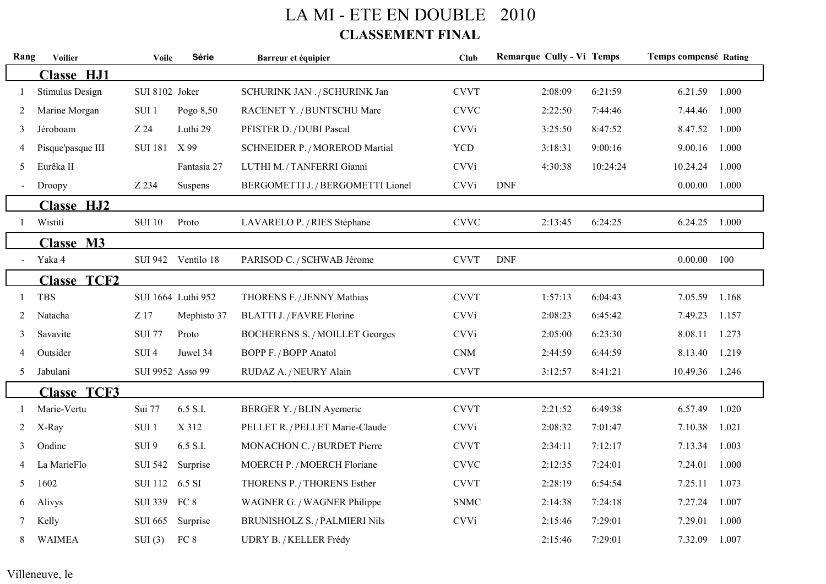## LA MI - ETE EN DOUBLE 2010 **CLASSEMENT FINAL**

| Rang | <b>Voilier</b>         | <b>Voile</b>     | <b>Série</b>       | Barreur et équipier                   | <b>Club</b>                 | <b>Remarque Cully - Vi Temps</b> |          | <b>Temps compensé Rating</b> |       |
|------|------------------------|------------------|--------------------|---------------------------------------|-----------------------------|----------------------------------|----------|------------------------------|-------|
|      | <b>Classe HJ1</b>      |                  |                    |                                       |                             |                                  |          |                              |       |
|      | <b>Stimulus Design</b> | SUI 8102 Joker   |                    | SCHURINK JAN ./ SCHURINK Jan          | <b>CVVT</b>                 | 2:08:09                          | 6:21:59  | 6.21.59                      | 1.000 |
| 2    | Marine Morgan          | SUI 1            | Pogo 8,50          | RACENET Y. / BUNTSCHU Marc            | <b>CVVC</b>                 | 2:22:50                          | 7:44:46  | 7.44.46                      | 1.000 |
| 3    | Jéroboam               | Z 24             | Luthi 29           | PFISTER D. / DUBI Pascal              | <b>CVVi</b>                 | 3:25:50                          | 8:47:52  | 8.47.52                      | 1.000 |
| 4    | Pisque'pasque III      | <b>SUI 181</b>   | X 99               | <b>SCHNEIDER P./MOREROD Martial</b>   | <b>YCD</b>                  | 3:18:31                          | 9:00:16  | 9.00.16                      | 1.000 |
| 5    | Eurêka II              |                  | Fantasia 27        | LUTHI M. / TANFERRI Gianni            | <b>CVVi</b>                 | 4:30:38                          | 10:24:24 | 10.24.24                     | 1.000 |
|      | Droopy                 | Z 234            | Suspens            | BERGOMETTI J. / BERGOMETTI Lionel     | <b>CVVi</b>                 | <b>DNF</b>                       |          | 0.00.00                      | 1.000 |
|      | <b>Classe HJ2</b>      |                  |                    |                                       |                             |                                  |          |                              |       |
|      | Wistiti                | <b>SUI 10</b>    | Proto              | LAVARELO P. / RIES Stéphane           | <b>CVVC</b>                 | 2:13:45                          | 6:24:25  | 6.24.25                      | 1.000 |
|      | <b>Classe M3</b>       |                  |                    |                                       |                             |                                  |          |                              |       |
|      | Yaka 4                 |                  | SUI 942 Ventilo 18 | PARISOD C. / SCHWAB Jérome            | <b>CVVT</b>                 | <b>DNF</b>                       |          | 0.00.00                      | 100   |
|      | <b>Classe TCF2</b>     |                  |                    |                                       |                             |                                  |          |                              |       |
|      | <b>TBS</b>             |                  | SUI 1664 Luthi 952 | THORENS F. / JENNY Mathias            | <b>CVVT</b>                 | 1:57:13                          | 6:04:43  | 7.05.59                      | 1.168 |
| 2    | Natacha                | Z 17             | Mephisto 37        | BLATTI J. / FAVRE Florine             | <b>CVVi</b>                 | 2:08:23                          | 6:45:42  | 7.49.23                      | 1.157 |
| 3    | Savavite               | <b>SUI 77</b>    | Proto              | <b>BOCHERENS S. / MOILLET Georges</b> | <b>CVVi</b>                 | 2:05:00                          | 6:23:30  | 8.08.11                      | 1.273 |
|      | Outsider               | SUI <sub>4</sub> | Juwel 34           | BOPP F. / BOPP Anatol                 | $\mathop{\rm CNM}\nolimits$ | 2:44:59                          | 6:44:59  | 8.13.40                      | 1.219 |
| 5    | Jabulani               | SUI 9952 Asso 99 |                    | RUDAZ A. / NEURY Alain                | <b>CVVT</b>                 | 3:12:57                          | 8:41:21  | 10.49.36                     | 1.246 |
|      | <b>Classe TCF3</b>     |                  |                    |                                       |                             |                                  |          |                              |       |
|      | Marie-Vertu            | Sui 77           | 6.5 S.I.           | BERGER Y. / BLIN Ayemeric             | <b>CVVT</b>                 | 2:21:52                          | 6:49:38  | 6.57.49                      | 1.020 |
| 2    | X-Ray                  | SUI <sub>1</sub> | X 312              | PELLET R. / PELLET Marie-Claude       | <b>CVVi</b>                 | 2:08:32                          | 7:01:47  | 7.10.38                      | 1.021 |
| 3    | Ondine                 | SUI 9            | 6.5 S.I.           | MONACHON C. / BURDET Pierre           | <b>CVVT</b>                 | 2:34:11                          | 7:12:17  | 7.13.34                      | 1.003 |
|      | La MarieFlo            | <b>SUI 542</b>   | Surprise           | MOERCH P. / MOERCH Floriane           | <b>CVVC</b>                 | 2:12:35                          | 7:24:01  | 7.24.01                      | 1.000 |
| 5    | 1602                   | <b>SUI 112</b>   | 6.5 SI             | THORENS P. / THORENS Esther           | <b>CVVT</b>                 | 2:28:19                          | 6:54:54  | 7.25.11                      | 1.073 |
| 6    | Alivys                 | <b>SUI 339</b>   | FC 8               | WAGNER G. / WAGNER Philippe           | <b>SNMC</b>                 | 2:14:38                          | 7:24:18  | 7.27.24                      | 1.007 |
|      | Kelly                  | <b>SUI 665</b>   | Surprise           | <b>BRUNISHOLZ S. / PALMIERI Nils</b>  | <b>CVVi</b>                 | 2:15:46                          | 7:29:01  | 7.29.01                      | 1.000 |
| 8    | <b>WAIMEA</b>          | SUI(3)           | FC 8               | UDRY B. / KELLER Frédy                |                             | 2:15:46                          | 7:29:01  | 7.32.09                      | 1.007 |

## Villeneuve, le